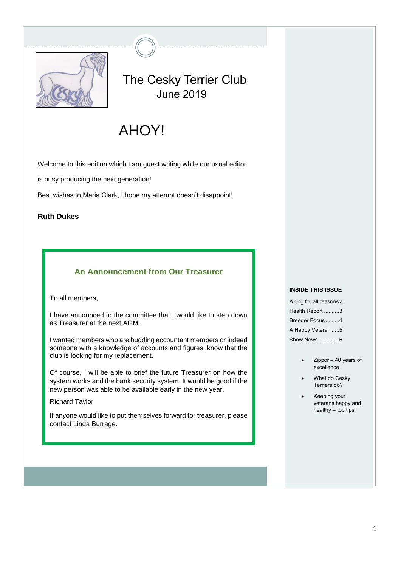

# The Cesky Terrier Club June 2019

# AHOY!

Welcome to this edition which I am guest writing while our usual editor

is busy producing the next generation!

Best wishes to Maria Clark, I hope my attempt doesn't disappoint!

#### **Ruth Dukes**

# **An Announcement from Our Treasurer**

To all members,

I have announced to the committee that I would like to step down as Treasurer at the next AGM.

I wanted members who are budding accountant members or indeed someone with a knowledge of accounts and figures, know that the club is looking for my replacement.

Of course, I will be able to brief the future Treasurer on how the system works and the bank security system. It would be good if the new person was able to be available early in the new year.

Richard Taylor

If anyone would like to put themselves forward for treasurer, please contact Linda Burrage.

#### **INSIDE THIS ISSUE**

A dog for all reasons2 Health Report ..........3 Breeder Focus .........4 A Happy Veteran .....5 Show News..............6

- $Zippor 40$  years of excellence
- What do Cesky Terriers do?
- Keeping your veterans happy and healthy  $-$  top tips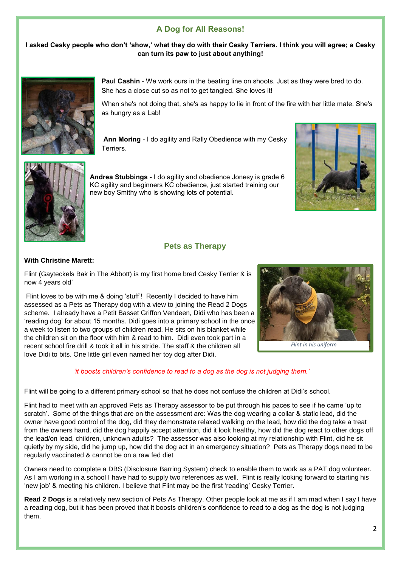# **A Dog for All Reasons!**

#### **I asked Cesky people who don't 'show,' what they do with their Cesky Terriers. I think you will agree; a Cesky can turn its paw to just about anything!**



**Paul Cashin** - We work ours in the beating line on shoots. Just as they were bred to do. She has a close cut so as not to get tangled. She loves it!

When she's not doing that, she's as happy to lie in front of the fire with her little mate. She's as hungry as a Lab!

**Ann Moring** - I do agility and Rally Obedience with my Cesky Terriers.



**Andrea Stubbings** - I do agility and obedience Jonesy is grade 6 KC agility and beginners KC obedience, just started training our new boy Smithy who is showing lots of potential.



# **Pets as Therapy**

#### **With Christine Marett:**

Flint (Gayteckels Bak in The Abbott) is my first home bred Cesky Terrier & is now 4 years old'

Flint loves to be with me & doing 'stuff'! Recently I decided to have him assessed as a Pets as Therapy dog with a view to joining the Read 2 Dogs scheme. I already have a Petit Basset Griffon Vendeen, Didi who has been a 'reading dog' for about 15 months. Didi goes into a primary school in the once a week to listen to two groups of children read. He sits on his blanket while the children sit on the floor with him & read to him. Didi even took part in a recent school fire drill & took it all in his stride. The staff & the children all love Didi to bits. One little girl even named her toy dog after Didi.



*'it boosts children's confidence to read to a dog as the dog is not judging them.'*

Flint will be going to a different primary school so that he does not confuse the children at Didi's school.

Flint had to meet with an approved Pets as Therapy assessor to be put through his paces to see if he came 'up to scratch'. Some of the things that are on the assessment are: Was the dog wearing a collar & static lead, did the owner have good control of the dog, did they demonstrate relaxed walking on the lead, how did the dog take a treat from the owners hand, did the dog happily accept attention, did it look healthy, how did the dog react to other dogs off the lead/on lead, children, unknown adults? The assessor was also looking at my relationship with Flint, did he sit quietly by my side, did he jump up, how did the dog act in an emergency situation? Pets as Therapy dogs need to be regularly vaccinated & cannot be on a raw fed diet

Owners need to complete a DBS (Disclosure Barring System) check to enable them to work as a PAT dog volunteer. As I am working in a school I have had to supply two references as well. Flint is really looking forward to starting his 'new job' & meeting his children. I believe that Flint may be the first 'reading' Cesky Terrier.

**Read 2 Dogs** is a relatively new section of Pets As Therapy. Other people look at me as if I am mad when I say I have a reading dog, but it has been proved that it boosts children's confidence to read to a dog as the dog is not judging them.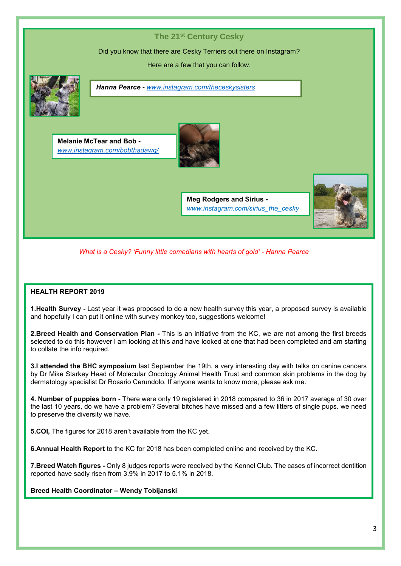# **The 21st Century Cesky** Did you know that there are Cesky Terriers out there on Instagram? Here are a few that you can follow. **Meg Rodgers and Sirius**  *www.instagram.com/sirius\_the\_cesky* **Melanie McTear and Bob**  *[www.instagram.com/bobthadawg/](http://www.instagram.com/bobthadawg/) Hanna Pearce - [www.instagram.com/theceskysisters](http://www.instagram.com/theceskysisters) What is a Cesky? 'Funny little comedians with hearts of gold' - Hanna Pearce*

## **HEALTH REPORT 2019**

**1.Health Survey -** Last year it was proposed to do a new health survey this year, a proposed survey is available and hopefully I can put it online with survey monkey too, suggestions welcome!

**2.Breed Health and Conservation Plan -** This is an initiative from the KC, we are not among the first breeds selected to do this however i am looking at this and have looked at one that had been completed and am starting to collate the info required.

**3.I attended the BHC symposium** last September the 19th, a very interesting day with talks on canine cancers by Dr Mike Starkey Head of Molecular Oncology Animal Health Trust and common skin problems in the dog by dermatology specialist Dr Rosario Cerundolo. If anyone wants to know more, please ask me.

**4. Number of puppies born -** There were only 19 registered in 2018 compared to 36 in 2017 average of 30 over the last 10 years, do we have a problem? Several bitches have missed and a few litters of single pups. we need to preserve the diversity we have.

**5.COI,** The figures for 2018 aren't available from the KC yet.

**6.Annual Health Report** to the KC for 2018 has been completed online and received by the KC.

**7.Breed Watch figures -** Only 8 judges reports were received by the Kennel Club. The cases of incorrect dentition reported have sadly risen from 3.9% in 2017 to 5.1% in 2018.

#### **Breed Health Coordinator – Wendy Tobijanski**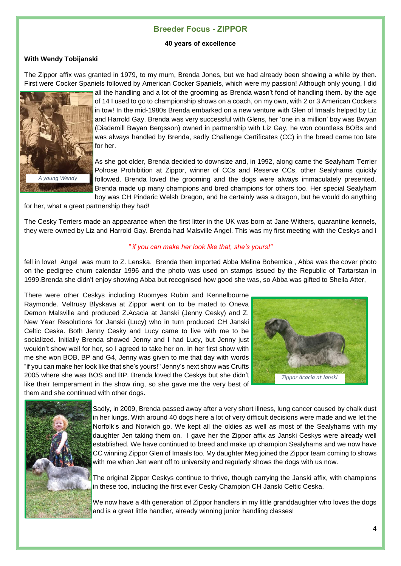## **Breeder Focus - ZIPPOR**

#### **40 years of excellence**

#### **With Wendy Tobijanski**

The Zippor affix was granted in 1979, to my mum, Brenda Jones, but we had already been showing a while by then. First were Cocker Spaniels followed by American Cocker Spaniels, which were my passion! Although only young, I did



all the handling and a lot of the grooming as Brenda wasn't fond of handling them. by the age of 14 I used to go to championship shows on a coach, on my own, with 2 or 3 American Cockers in tow! In the mid-1980s Brenda embarked on a new venture with Glen of Imaals helped by Liz and Harrold Gay. Brenda was very successful with Glens, her 'one in a million' boy was Bwyan (Diademill Bwyan Bergsson) owned in partnership with Liz Gay, he won countless BOBs and was always handled by Brenda, sadly Challenge Certificates (CC) in the breed came too late for her.

As she got older, Brenda decided to downsize and, in 1992, along came the Sealyham Terrier Polrose Prohibition at Zippor, winner of CCs and Reserve CCs, other Sealyhams quickly followed. Brenda loved the grooming and the dogs were always immaculately presented. Brenda made up many champions and bred champions for others too. Her special Sealyham boy was CH Pindaric Welsh Dragon, and he certainly was a dragon, but he would do anything

for her, what a great partnership they had!

The Cesky Terriers made an appearance when the first litter in the UK was born at Jane Withers, quarantine kennels, they were owned by Liz and Harrold Gay. Brenda had Malsville Angel. This was my first meeting with the Ceskys and I

#### *" if you can make her look like that, she's yours!"*

fell in love! Angel was mum to Z. Lenska, Brenda then imported Abba Melina Bohemica , Abba was the cover photo on the pedigree chum calendar 1996 and the photo was used on stamps issued by the Republic of Tartarstan in 1999.Brenda she didn't enjoy showing Abba but recognised how good she was, so Abba was gifted to Sheila Atter,

There were other Ceskys including Ruomyes Rubin and Kennelbourne Raymonde. Veltrusy Blyskava at Zippor went on to be mated to Oneva Demon Malsville and produced Z.Acacia at Janski (Jenny Cesky) and Z. New Year Resolutions for Janski (Lucy) who in turn produced CH Janski Celtic Ceska. Both Jenny Cesky and Lucy came to live with me to be socialized. Initially Brenda showed Jenny and I had Lucy, but Jenny just wouldn't show well for her, so I agreed to take her on. In her first show with me she won BOB, BP and G4, Jenny was given to me that day with words "if you can make her look like that she's yours!" Jenny's next show was Crufts 2005 where she was BOS and BP. Brenda loved the Ceskys but she didn't like their temperament in the show ring, so she gave me the very best of them and she continued with other dogs.





Sadly, in 2009, Brenda passed away after a very short illness, lung cancer caused by chalk dust in her lungs. With around 40 dogs here a lot of very difficult decisions were made and we let the Norfolk's and Norwich go. We kept all the oldies as well as most of the Sealyhams with my daughter Jen taking them on. I gave her the Zippor affix as Janski Ceskys were already well established. We have continued to breed and make up champion Sealyhams and we now have CC winning Zippor Glen of Imaals too. My daughter Meg joined the Zippor team coming to shows with me when Jen went off to university and regularly shows the dogs with us now.

The original Zippor Ceskys continue to thrive, though carrying the Janski affix, with champions in these too, including the first ever Cesky Champion CH Janski Celtic Ceska.

We now have a 4th generation of Zippor handlers in my little granddaughter who loves the dogs and is a great little handler, already winning junior handling classes!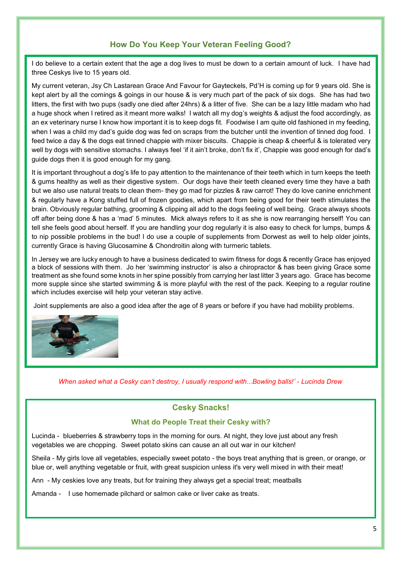# **How Do You Keep Your Veteran Feeling Good?**

I do believe to a certain extent that the age a dog lives to must be down to a certain amount of luck. I have had three Ceskys live to 15 years old.

My current veteran, Jsy Ch Lastarean Grace And Favour for Gayteckels, Pd'H is coming up for 9 years old. She is kept alert by all the comings & goings in our house & is very much part of the pack of six dogs. She has had two litters, the first with two pups (sadly one died after 24hrs) & a litter of five. She can be a lazy little madam who had a huge shock when I retired as it meant more walks! I watch all my dog's weights & adjust the food accordingly, as an ex veterinary nurse I know how important it is to keep dogs fit. Foodwise I am quite old fashioned in my feeding, when I was a child my dad's guide dog was fed on scraps from the butcher until the invention of tinned dog food. I feed twice a day & the dogs eat tinned chappie with mixer biscuits. Chappie is cheap & cheerful & is tolerated very well by dogs with sensitive stomachs. I always feel 'if it ain't broke, don't fix it', Chappie was good enough for dad's guide dogs then it is good enough for my gang.

It is important throughout a dog's life to pay attention to the maintenance of their teeth which in turn keeps the teeth & gums healthy as well as their digestive system. Our dogs have their teeth cleaned every time they have a bath but we also use natural treats to clean them- they go mad for pizzles & raw carrot! They do love canine enrichment & regularly have a Kong stuffed full of frozen goodies, which apart from being good for their teeth stimulates the brain. Obviously regular bathing, grooming & clipping all add to the dogs feeling of well being. Grace always shoots off after being done & has a 'mad' 5 minutes. Mick always refers to it as she is now rearranging herself! You can tell she feels good about herself. If you are handling your dog regularly it is also easy to check for lumps, bumps & to nip possible problems in the bud! I do use a couple of supplements from Dorwest as well to help older joints, currently Grace is having Glucosamine & Chondroitin along with turmeric tablets.

In Jersey we are lucky enough to have a business dedicated to swim fitness for dogs & recently Grace has enjoyed a block of sessions with them. Jo her 'swimming instructor' is also a chiropractor & has been giving Grace some treatment as she found some knots in her spine possibly from carrying her last litter 3 years ago. Grace has become more supple since she started swimming & is more playful with the rest of the pack. Keeping to a regular routine which includes exercise will help your veteran stay active.

Joint supplements are also a good idea after the age of 8 years or before if you have had mobility problems.



*When asked what a Cesky can't destroy, I usually respond with...Bowling balls!' - Lucinda Drew*

# **Cesky Snacks!**

#### **What do People Treat their Cesky with?**

Lucinda - blueberries & strawberry tops in the morning for ours. At night, they love just about any fresh vegetables we are chopping. Sweet potato skins can cause an all out war in our kitchen!

Sheila - My girls love all vegetables, especially sweet potato - the boys treat anything that is green, or orange, or blue or, well anything vegetable or fruit, with great suspicion unless it's very well mixed in with their meat!

Ann - My ceskies love any treats, but for training they always get a special treat; meatballs

Amanda - I use homemade pilchard or salmon cake or liver cake as treats.